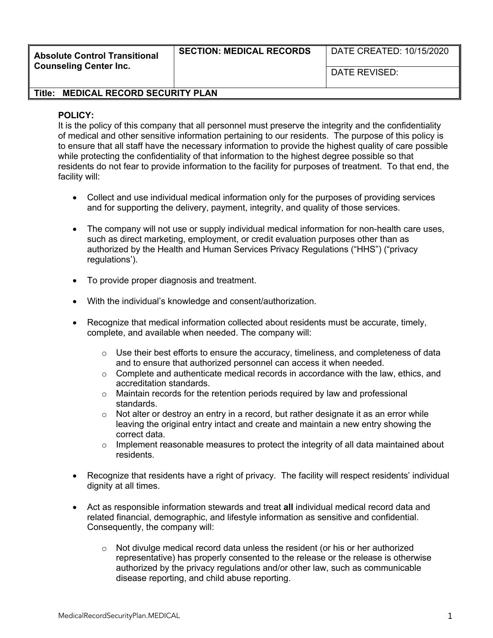**Absolute Control Transitional Counseling Center Inc.**

## **SECTION: MEDICAL RECORDS** | DATE CREATED: 10/15/2020

DATE REVISED:

## **Title: MEDICAL RECORD SECURITY PLAN**

## **POLICY:**

It is the policy of this company that all personnel must preserve the integrity and the confidentiality of medical and other sensitive information pertaining to our residents. The purpose of this policy is to ensure that all staff have the necessary information to provide the highest quality of care possible while protecting the confidentiality of that information to the highest degree possible so that residents do not fear to provide information to the facility for purposes of treatment. To that end, the facility will:

- Collect and use individual medical information only for the purposes of providing services and for supporting the delivery, payment, integrity, and quality of those services.
- The company will not use or supply individual medical information for non-health care uses, such as direct marketing, employment, or credit evaluation purposes other than as authorized by the Health and Human Services Privacy Regulations ("HHS") ("privacy regulations').
- To provide proper diagnosis and treatment.
- With the individual's knowledge and consent/authorization.
- Recognize that medical information collected about residents must be accurate, timely, complete, and available when needed. The company will:
	- $\circ$  Use their best efforts to ensure the accuracy, timeliness, and completeness of data and to ensure that authorized personnel can access it when needed.
	- $\circ$  Complete and authenticate medical records in accordance with the law, ethics, and accreditation standards.
	- $\circ$  Maintain records for the retention periods required by law and professional standards.
	- $\circ$  Not alter or destroy an entry in a record, but rather designate it as an error while leaving the original entry intact and create and maintain a new entry showing the correct data.
	- $\circ$  Implement reasonable measures to protect the integrity of all data maintained about residents.
- Recognize that residents have a right of privacy. The facility will respect residents' individual dignity at all times.
- Act as responsible information stewards and treat **all** individual medical record data and related financial, demographic, and lifestyle information as sensitive and confidential. Consequently, the company will:
	- $\circ$  Not divulge medical record data unless the resident (or his or her authorized representative) has properly consented to the release or the release is otherwise authorized by the privacy regulations and/or other law, such as communicable disease reporting, and child abuse reporting.